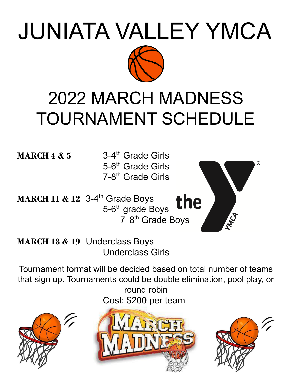# JUNIATA VALLEY YMCA



## 2022 MARCH MADNESS TOURNAMENT SCHEDULE

**MARCH 4 & 5** 3-4

3-4<sup>th</sup> Grade Girls 5-6<sup>th</sup> Grade Girls 7-8<sup>th</sup> Grade Girls

**MARCH 11 & 12** 3-4 th Grade Boys the 5-6<sup>th</sup> grade Boys 7<sup>-</sup> 8<sup>th</sup> Grade Boys

**MARCH 18 & 19** Underclass Boys Underclass Girls

Tournament format will be decided based on total number of teams that sign up. Tournaments could be double elimination, pool play, or round robin Cost: \$200 per team







MCA

®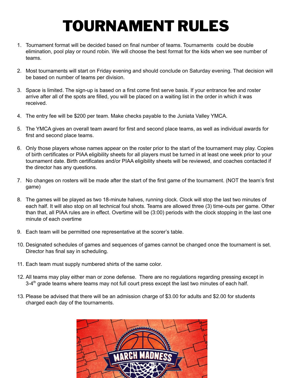## TOURNAMENT RULES

- 1. Tournament format will be decided based on final number of teams. Tournaments could be double elimination, pool play or round robin. We will choose the best format for the kids when we see number of teams.
- 2. Most tournaments will start on Friday evening and should conclude on Saturday evening. That decision will be based on number of teams per division.
- 3. Space is limited. The sign-up is based on a first come first serve basis. If your entrance fee and roster arrive after all of the spots are filled, you will be placed on a waiting list in the order in which it was received.
- 4. The entry fee will be \$200 per team. Make checks payable to the Juniata Valley YMCA.
- 5. The YMCA gives an overall team award for first and second place teams, as well as individual awards for first and second place teams.
- 6. Only those players whose names appear on the roster prior to the start of the tournament may play. Copies of birth certificates or PIAA eligibility sheets for all players must be turned in at least one week prior to your tournament date. Birth certificates and/or PIAA eligibility sheets will be reviewed, and coaches contacted if the director has any questions.
- 7. No changes on rosters will be made after the start of the first game of the tournament. (NOT the team's first game)
- 8. The games will be played as two 18-minute halves, running clock. Clock will stop the last two minutes of each half. It will also stop on all technical foul shots. Teams are allowed three (3) time-outs per game. Other than that, all PIAA rules are in effect. Overtime will be (3:00) periods with the clock stopping in the last one minute of each overtime
- 9. Each team will be permitted one representative at the scorer's table.
- 10. Designated schedules of games and sequences of games cannot be changed once the tournament is set. Director has final say in scheduling.
- 11. Each team must supply numbered shirts of the same color.
- 12. All teams may play either man or zone defense. There are no regulations regarding pressing except in 3-4<sup>th</sup> grade teams where teams may not full court press except the last two minutes of each half.
- 13. Please be advised that there will be an admission charge of \$3.00 for adults and \$2.00 for students charged each day of the tournaments.

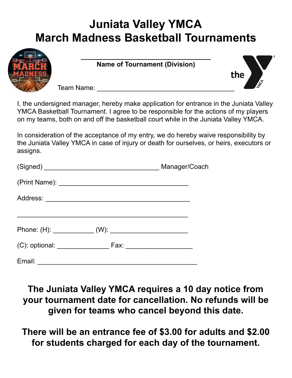### **Juniata Valley YMCA March Madness Basketball Tournaments**



**\_\_\_\_\_\_\_\_\_\_\_\_\_\_\_\_\_\_\_\_\_\_\_\_\_\_\_\_\_\_\_\_\_\_\_ Name of Tournament (Division)**



Team Name:

I, the undersigned manager, hereby make application for entrance in the Juniata Valley YMCA Basketball Tournament. I agree to be responsible for the actions of my players on my teams, both on and off the basketball court while in the Juniata Valley YMCA.

In consideration of the acceptance of my entry, we do hereby waive responsibility by the Juniata Valley YMCA in case of injury or death for ourselves, or heirs, executors or assigns.

|        | Manager/Coach |  |
|--------|---------------|--|
|        |               |  |
|        |               |  |
|        |               |  |
|        |               |  |
| Email: |               |  |

**The Juniata Valley YMCA requires a 10 day notice from your tournament date for cancellation. No refunds will be given for teams who cancel beyond this date.**

**There will be an entrance fee of \$3.00 for adults and \$2.00 for students charged for each day of the tournament.**